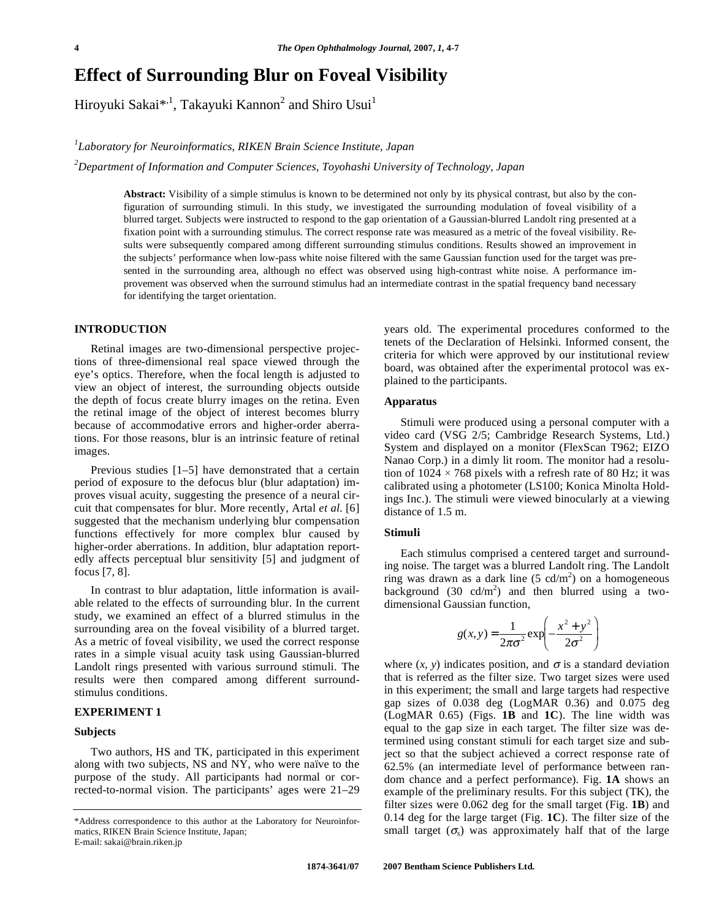# **Effect of Surrounding Blur on Foveal Visibility**

Hiroyuki Sakai $^{*1}$ , Takayuki Kannon<sup>2</sup> and Shiro Usui<sup>1</sup>

*1 Laboratory for Neuroinformatics, RIKEN Brain Science Institute, Japan* 

*2 Department of Information and Computer Sciences, Toyohashi University of Technology, Japan* 

**Abstract:** Visibility of a simple stimulus is known to be determined not only by its physical contrast, but also by the configuration of surrounding stimuli. In this study, we investigated the surrounding modulation of foveal visibility of a blurred target. Subjects were instructed to respond to the gap orientation of a Gaussian-blurred Landolt ring presented at a fixation point with a surrounding stimulus. The correct response rate was measured as a metric of the foveal visibility. Results were subsequently compared among different surrounding stimulus conditions. Results showed an improvement in the subjects' performance when low-pass white noise filtered with the same Gaussian function used for the target was presented in the surrounding area, although no effect was observed using high-contrast white noise. A performance improvement was observed when the surround stimulus had an intermediate contrast in the spatial frequency band necessary for identifying the target orientation.

# **INTRODUCTION**

 Retinal images are two-dimensional perspective projections of three-dimensional real space viewed through the eye's optics. Therefore, when the focal length is adjusted to view an object of interest, the surrounding objects outside the depth of focus create blurry images on the retina. Even the retinal image of the object of interest becomes blurry because of accommodative errors and higher-order aberrations. For those reasons, blur is an intrinsic feature of retinal images.

 Previous studies [1–5] have demonstrated that a certain period of exposure to the defocus blur (blur adaptation) improves visual acuity, suggesting the presence of a neural circuit that compensates for blur. More recently, Artal *et al*. [6] suggested that the mechanism underlying blur compensation functions effectively for more complex blur caused by higher-order aberrations. In addition, blur adaptation reportedly affects perceptual blur sensitivity [5] and judgment of focus [7, 8].

 In contrast to blur adaptation, little information is available related to the effects of surrounding blur. In the current study, we examined an effect of a blurred stimulus in the surrounding area on the foveal visibility of a blurred target. As a metric of foveal visibility, we used the correct response rates in a simple visual acuity task using Gaussian-blurred Landolt rings presented with various surround stimuli. The results were then compared among different surroundstimulus conditions.

# **EXPERIMENT 1**

#### **Subjects**

 Two authors, HS and TK, participated in this experiment along with two subjects, NS and NY, who were naïve to the purpose of the study. All participants had normal or corrected-to-normal vision. The participants' ages were 21–29 years old. The experimental procedures conformed to the tenets of the Declaration of Helsinki. Informed consent, the criteria for which were approved by our institutional review board, was obtained after the experimental protocol was explained to the participants.

## **Apparatus**

 Stimuli were produced using a personal computer with a video card (VSG 2/5; Cambridge Research Systems, Ltd.) System and displayed on a monitor (FlexScan T962; EIZO Nanao Corp.) in a dimly lit room. The monitor had a resolution of  $1024 \times 768$  pixels with a refresh rate of 80 Hz; it was calibrated using a photometer (LS100; Konica Minolta Holdings Inc.). The stimuli were viewed binocularly at a viewing distance of 1.5 m.

#### **Stimuli**

 Each stimulus comprised a centered target and surrounding noise. The target was a blurred Landolt ring. The Landolt ring was drawn as a dark line  $(5 \text{ cd/m}^2)$  on a homogeneous background (30  $cd/m^2$ ) and then blurred using a twodimensional Gaussian function,

$$
g(x, y) = \frac{1}{2\pi\sigma^2} \exp\left(-\frac{x^2 + y^2}{2\sigma^2}\right)
$$

where  $(x, y)$  indicates position, and  $\sigma$  is a standard deviation that is referred as the filter size. Two target sizes were used in this experiment; the small and large targets had respective gap sizes of 0.038 deg (LogMAR 0.36) and 0.075 deg (LogMAR 0.65) (Figs. **1B** and **1C**). The line width was equal to the gap size in each target. The filter size was determined using constant stimuli for each target size and subject so that the subject achieved a correct response rate of 62.5% (an intermediate level of performance between random chance and a perfect performance). Fig. **1A** shows an example of the preliminary results. For this subject (TK), the filter sizes were 0.062 deg for the small target (Fig. **1B**) and 0.14 deg for the large target (Fig. **1C**). The filter size of the small target  $(\sigma_s)$  was approximately half that of the large

<sup>\*</sup>Address correspondence to this author at the Laboratory for Neuroinformatics, RIKEN Brain Science Institute, Japan; E-mail: sakai@brain.riken.jp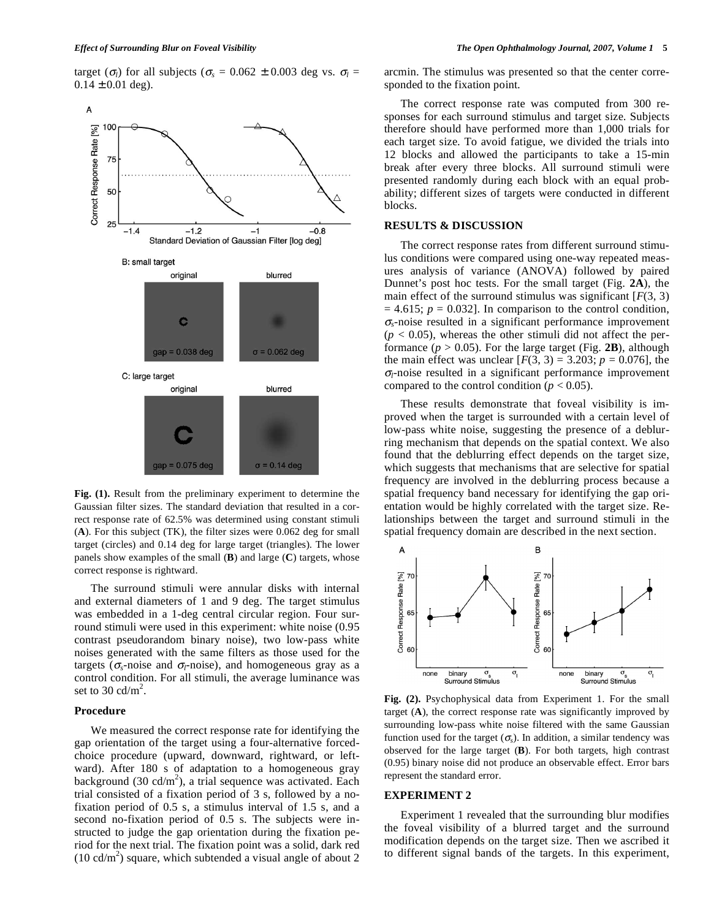target ( $\sigma_l$ ) for all subjects ( $\sigma_s = 0.062 \pm 0.003$  deg vs.  $\sigma_l =$  $0.14 \pm 0.01$  deg).



**Fig. (1).** Result from the preliminary experiment to determine the Gaussian filter sizes. The standard deviation that resulted in a correct response rate of 62.5% was determined using constant stimuli (**A**). For this subject (TK), the filter sizes were 0.062 deg for small target (circles) and 0.14 deg for large target (triangles). The lower panels show examples of the small (**B**) and large (**C**) targets, whose correct response is rightward.

 The surround stimuli were annular disks with internal and external diameters of 1 and 9 deg. The target stimulus was embedded in a 1-deg central circular region. Four surround stimuli were used in this experiment: white noise (0.95 contrast pseudorandom binary noise), two low-pass white noises generated with the same filters as those used for the targets ( $\sigma_s$ -noise and  $\sigma_l$ -noise), and homogeneous gray as a control condition. For all stimuli, the average luminance was set to  $30 \text{ cd/m}^2$ .

## **Procedure**

 We measured the correct response rate for identifying the gap orientation of the target using a four-alternative forcedchoice procedure (upward, downward, rightward, or leftward). After 180 s of adaptation to a homogeneous gray background (30 cd/m<sup>2</sup>), a trial sequence was activated. Each trial consisted of a fixation period of 3 s, followed by a nofixation period of 0.5 s, a stimulus interval of 1.5 s, and a second no-fixation period of 0.5 s. The subjects were instructed to judge the gap orientation during the fixation period for the next trial. The fixation point was a solid, dark red  $(10 \text{ cd/m}^2)$  square, which subtended a visual angle of about 2 arcmin. The stimulus was presented so that the center corresponded to the fixation point.

 The correct response rate was computed from 300 responses for each surround stimulus and target size. Subjects therefore should have performed more than 1,000 trials for each target size. To avoid fatigue, we divided the trials into 12 blocks and allowed the participants to take a 15-min break after every three blocks. All surround stimuli were presented randomly during each block with an equal probability; different sizes of targets were conducted in different blocks.

## **RESULTS & DISCUSSION**

 The correct response rates from different surround stimulus conditions were compared using one-way repeated measures analysis of variance (ANOVA) followed by paired Dunnet's post hoc tests. For the small target (Fig. **2A**), the main effect of the surround stimulus was significant  $[F(3, 3)]$  $= 4.615$ ;  $p = 0.032$ ]. In comparison to the control condition,  $\sigma_{s}$ -noise resulted in a significant performance improvement  $(p < 0.05)$ , whereas the other stimuli did not affect the performance  $(p > 0.05)$ . For the large target (Fig. 2B), although the main effect was unclear  $[F(3, 3) = 3.203; p = 0.076]$ , the  $\sigma_l$ -noise resulted in a significant performance improvement compared to the control condition ( $p < 0.05$ ).

 These results demonstrate that foveal visibility is improved when the target is surrounded with a certain level of low-pass white noise, suggesting the presence of a deblurring mechanism that depends on the spatial context. We also found that the deblurring effect depends on the target size, which suggests that mechanisms that are selective for spatial frequency are involved in the deblurring process because a spatial frequency band necessary for identifying the gap orientation would be highly correlated with the target size. Relationships between the target and surround stimuli in the spatial frequency domain are described in the next section.



**Fig. (2).** Psychophysical data from Experiment 1. For the small target (**A**), the correct response rate was significantly improved by surrounding low-pass white noise filtered with the same Gaussian function used for the target  $(\sigma_s)$ . In addition, a similar tendency was observed for the large target (**B**). For both targets, high contrast (0.95) binary noise did not produce an observable effect. Error bars represent the standard error.

#### **EXPERIMENT 2**

 Experiment 1 revealed that the surrounding blur modifies the foveal visibility of a blurred target and the surround modification depends on the target size. Then we ascribed it to different signal bands of the targets. In this experiment,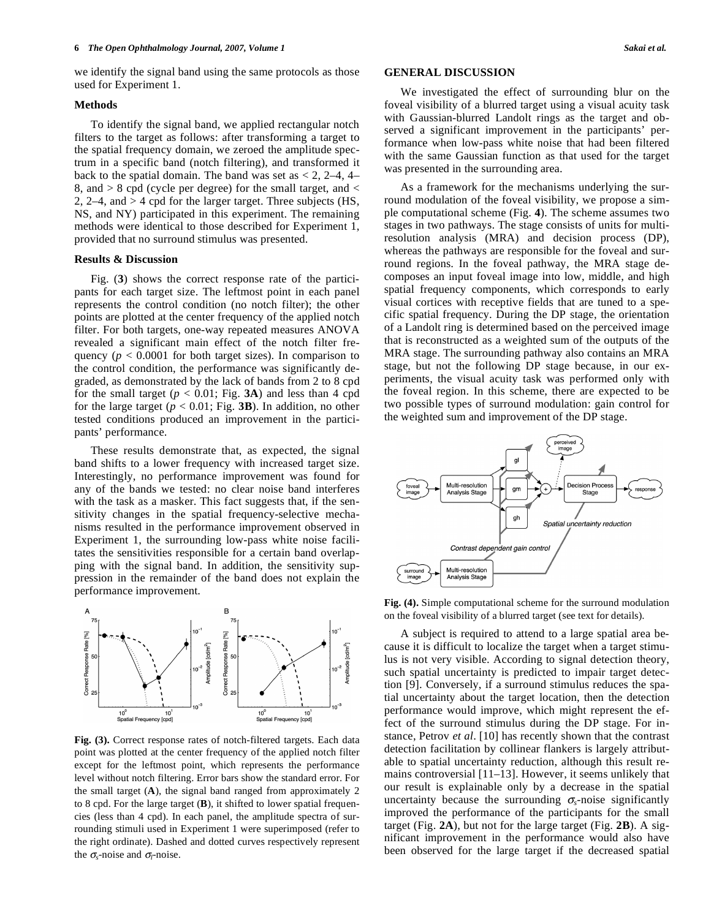we identify the signal band using the same protocols as those used for Experiment 1.

## **Methods**

 To identify the signal band, we applied rectangular notch filters to the target as follows: after transforming a target to the spatial frequency domain, we zeroed the amplitude spectrum in a specific band (notch filtering), and transformed it back to the spatial domain. The band was set as  $< 2$ , 2–4, 4– 8, and > 8 cpd (cycle per degree) for the small target, and < 2, 2–4, and > 4 cpd for the larger target. Three subjects (HS, NS, and NY) participated in this experiment. The remaining methods were identical to those described for Experiment 1, provided that no surround stimulus was presented.

#### **Results & Discussion**

 Fig. (**3**) shows the correct response rate of the participants for each target size. The leftmost point in each panel represents the control condition (no notch filter); the other points are plotted at the center frequency of the applied notch filter. For both targets, one-way repeated measures ANOVA revealed a significant main effect of the notch filter frequency ( $p < 0.0001$  for both target sizes). In comparison to the control condition, the performance was significantly degraded, as demonstrated by the lack of bands from 2 to 8 cpd for the small target  $(p < 0.01$ ; Fig. **3A**) and less than 4 cpd for the large target ( $p < 0.01$ ; Fig. 3B). In addition, no other tested conditions produced an improvement in the participants' performance.

 These results demonstrate that, as expected, the signal band shifts to a lower frequency with increased target size. Interestingly, no performance improvement was found for any of the bands we tested: no clear noise band interferes with the task as a masker. This fact suggests that, if the sensitivity changes in the spatial frequency-selective mechanisms resulted in the performance improvement observed in Experiment 1, the surrounding low-pass white noise facilitates the sensitivities responsible for a certain band overlapping with the signal band. In addition, the sensitivity suppression in the remainder of the band does not explain the performance improvement.



**Fig. (3).** Correct response rates of notch-filtered targets. Each data point was plotted at the center frequency of the applied notch filter except for the leftmost point, which represents the performance level without notch filtering. Error bars show the standard error. For the small target (**A**), the signal band ranged from approximately 2 to 8 cpd. For the large target (**B**), it shifted to lower spatial frequencies (less than 4 cpd). In each panel, the amplitude spectra of surrounding stimuli used in Experiment 1 were superimposed (refer to the right ordinate). Dashed and dotted curves respectively represent the  $\sigma_{s}$ -noise and  $\sigma_{l}$ -noise.

### **GENERAL DISCUSSION**

 We investigated the effect of surrounding blur on the foveal visibility of a blurred target using a visual acuity task with Gaussian-blurred Landolt rings as the target and observed a significant improvement in the participants' performance when low-pass white noise that had been filtered with the same Gaussian function as that used for the target was presented in the surrounding area.

 As a framework for the mechanisms underlying the surround modulation of the foveal visibility, we propose a simple computational scheme (Fig. **4**). The scheme assumes two stages in two pathways. The stage consists of units for multiresolution analysis (MRA) and decision process (DP), whereas the pathways are responsible for the foveal and surround regions. In the foveal pathway, the MRA stage decomposes an input foveal image into low, middle, and high spatial frequency components, which corresponds to early visual cortices with receptive fields that are tuned to a specific spatial frequency. During the DP stage, the orientation of a Landolt ring is determined based on the perceived image that is reconstructed as a weighted sum of the outputs of the MRA stage. The surrounding pathway also contains an MRA stage, but not the following DP stage because, in our experiments, the visual acuity task was performed only with the foveal region. In this scheme, there are expected to be two possible types of surround modulation: gain control for the weighted sum and improvement of the DP stage.



**Fig. (4).** Simple computational scheme for the surround modulation on the foveal visibility of a blurred target (see text for details).

 A subject is required to attend to a large spatial area because it is difficult to localize the target when a target stimulus is not very visible. According to signal detection theory, such spatial uncertainty is predicted to impair target detection [9]. Conversely, if a surround stimulus reduces the spatial uncertainty about the target location, then the detection performance would improve, which might represent the effect of the surround stimulus during the DP stage. For instance, Petrov *et al*. [10] has recently shown that the contrast detection facilitation by collinear flankers is largely attributable to spatial uncertainty reduction, although this result remains controversial [11–13]. However, it seems unlikely that our result is explainable only by a decrease in the spatial uncertainty because the surrounding  $\sigma_{\rm s}$ -noise significantly improved the performance of the participants for the small target (Fig. **2A**), but not for the large target (Fig. **2B**). A significant improvement in the performance would also have been observed for the large target if the decreased spatial